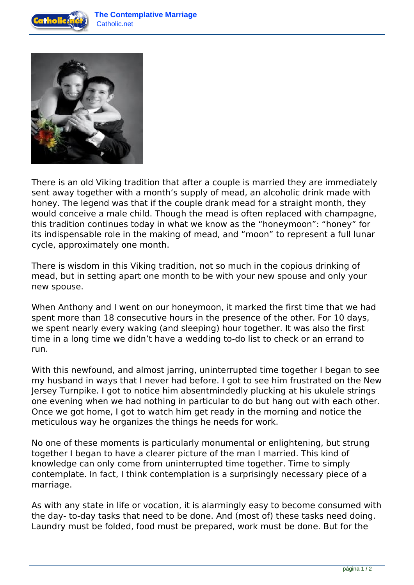



There is an old Viking tradition that after a couple is married they are immediately sent away together with a month's supply of mead, an alcoholic drink made with honey. The legend was that if the couple drank mead for a straight month, they would conceive a male child. Though the mead is often replaced with champagne, this tradition continues today in what we know as the "honeymoon": "honey" for its indispensable role in the making of mead, and "moon" to represent a full lunar cycle, approximately one month.

There is wisdom in this Viking tradition, not so much in the copious drinking of mead, but in setting apart one month to be with your new spouse and only your new spouse.

When Anthony and I went on our honeymoon, it marked the first time that we had spent more than 18 consecutive hours in the presence of the other. For 10 days, we spent nearly every waking (and sleeping) hour together. It was also the first time in a long time we didn't have a wedding to-do list to check or an errand to run.

With this newfound, and almost jarring, uninterrupted time together I began to see my husband in ways that I never had before. I got to see him frustrated on the New Jersey Turnpike. I got to notice him absentmindedly plucking at his ukulele strings one evening when we had nothing in particular to do but hang out with each other. Once we got home, I got to watch him get ready in the morning and notice the meticulous way he organizes the things he needs for work.

No one of these moments is particularly monumental or enlightening, but strung together I began to have a clearer picture of the man I married. This kind of knowledge can only come from uninterrupted time together. Time to simply contemplate. In fact, I think contemplation is a surprisingly necessary piece of a marriage.

As with any state in life or vocation, it is alarmingly easy to become consumed with the day- to-day tasks that need to be done. And (most of) these tasks need doing. Laundry must be folded, food must be prepared, work must be done. But for the